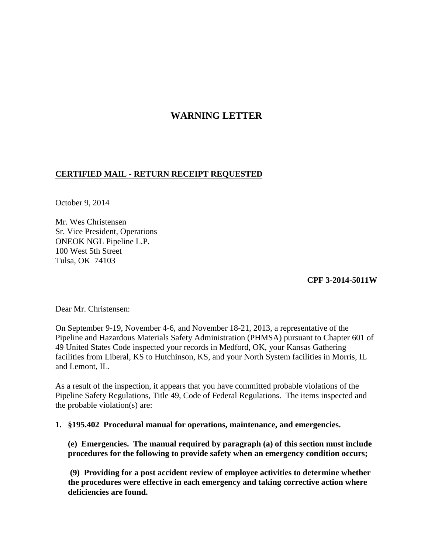# **WARNING LETTER**

# **CERTIFIED MAIL - RETURN RECEIPT REQUESTED**

October 9, 2014

Mr. Wes Christensen Sr. Vice President, Operations ONEOK NGL Pipeline L.P. 100 West 5th Street Tulsa, OK 74103

**CPF 3-2014-5011W** 

Dear Mr. Christensen:

On September 9-19, November 4-6, and November 18-21, 2013, a representative of the Pipeline and Hazardous Materials Safety Administration (PHMSA) pursuant to Chapter 601 of 49 United States Code inspected your records in Medford, OK, your Kansas Gathering facilities from Liberal, KS to Hutchinson, KS, and your North System facilities in Morris, IL and Lemont, IL.

As a result of the inspection, it appears that you have committed probable violations of the Pipeline Safety Regulations, Title 49, Code of Federal Regulations. The items inspected and the probable violation(s) are:

## **1. §195.402 Procedural manual for operations, maintenance, and emergencies.**

**(e) Emergencies. The manual required by paragraph (a) of this section must include procedures for the following to provide safety when an emergency condition occurs;**

**(9) Providing for a post accident review of employee activities to determine whether the procedures were effective in each emergency and taking corrective action where deficiencies are found.**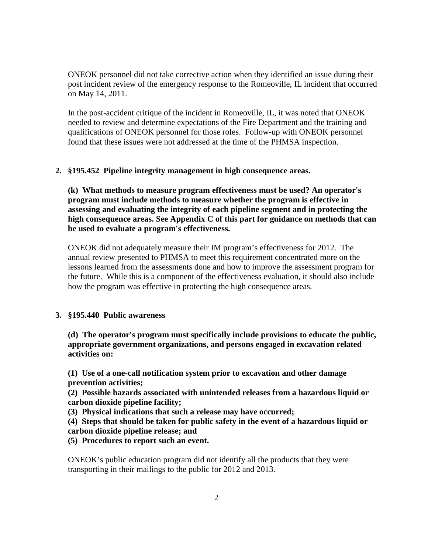ONEOK personnel did not take corrective action when they identified an issue during their post incident review of the emergency response to the Romeoville, IL incident that occurred on May 14, 2011.

In the post-accident critique of the incident in Romeoville, IL, it was noted that ONEOK needed to review and determine expectations of the Fire Department and the training and qualifications of ONEOK personnel for those roles. Follow-up with ONEOK personnel found that these issues were not addressed at the time of the PHMSA inspection.

### **2. §195.452 Pipeline integrity management in high consequence areas.**

**(k) What methods to measure program effectiveness must be used? An operator's program must include methods to measure whether the program is effective in assessing and evaluating the integrity of each pipeline segment and in protecting the high consequence areas. See Appendix C of this part for guidance on methods that can be used to evaluate a program's effectiveness.**

ONEOK did not adequately measure their IM program's effectiveness for 2012. The annual review presented to PHMSA to meet this requirement concentrated more on the lessons learned from the assessments done and how to improve the assessment program for the future. While this is a component of the effectiveness evaluation, it should also include how the program was effective in protecting the high consequence areas.

#### **3. §195.440 Public awareness**

**(d) The operator's program must specifically include provisions to educate the public, appropriate government organizations, and persons engaged in excavation related activities on:** 

**(1) Use of a one-call notification system prior to excavation and other damage prevention activities;**

 **(2) Possible hazards associated with unintended releases from a hazardous liquid or carbon dioxide pipeline facility;**

**(3) Physical indications that such a release may have occurred;**

**(4) Steps that should be taken for public safety in the event of a hazardous liquid or carbon dioxide pipeline release; and**

**(5) Procedures to report such an event.**

ONEOK's public education program did not identify all the products that they were transporting in their mailings to the public for 2012 and 2013.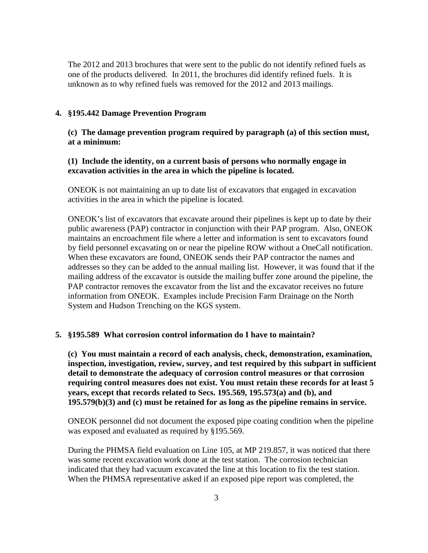The 2012 and 2013 brochures that were sent to the public do not identify refined fuels as one of the products delivered. In 2011, the brochures did identify refined fuels. It is unknown as to why refined fuels was removed for the 2012 and 2013 mailings.

#### **4. §195.442 Damage Prevention Program**

**(c) The damage prevention program required by paragraph (a) of this section must, at a minimum:**

## **(1) Include the identity, on a current basis of persons who normally engage in excavation activities in the area in which the pipeline is located.**

ONEOK is not maintaining an up to date list of excavators that engaged in excavation activities in the area in which the pipeline is located.

ONEOK's list of excavators that excavate around their pipelines is kept up to date by their public awareness (PAP) contractor in conjunction with their PAP program. Also, ONEOK maintains an encroachment file where a letter and information is sent to excavators found by field personnel excavating on or near the pipeline ROW without a OneCall notification. When these excavators are found, ONEOK sends their PAP contractor the names and addresses so they can be added to the annual mailing list. However, it was found that if the mailing address of the excavator is outside the mailing buffer zone around the pipeline, the PAP contractor removes the excavator from the list and the excavator receives no future information from ONEOK. Examples include Precision Farm Drainage on the North System and Hudson Trenching on the KGS system.

#### **5. §195.589 What corrosion control information do I have to maintain?**

 **(c) You must maintain a record of each analysis, check, demonstration, examination, inspection, investigation, review, survey, and test required by this subpart in sufficient detail to demonstrate the adequacy of corrosion control measures or that corrosion requiring control measures does not exist. You must retain these records for at least 5 years, except that records related to Secs. 195.569, 195.573(a) and (b), and 195.579(b)(3) and (c) must be retained for as long as the pipeline remains in service.**

 ONEOK personnel did not document the exposed pipe coating condition when the pipeline was exposed and evaluated as required by §195.569.

 During the PHMSA field evaluation on Line 105, at MP 219.857, it was noticed that there was some recent excavation work done at the test station. The corrosion technician indicated that they had vacuum excavated the line at this location to fix the test station. When the PHMSA representative asked if an exposed pipe report was completed, the